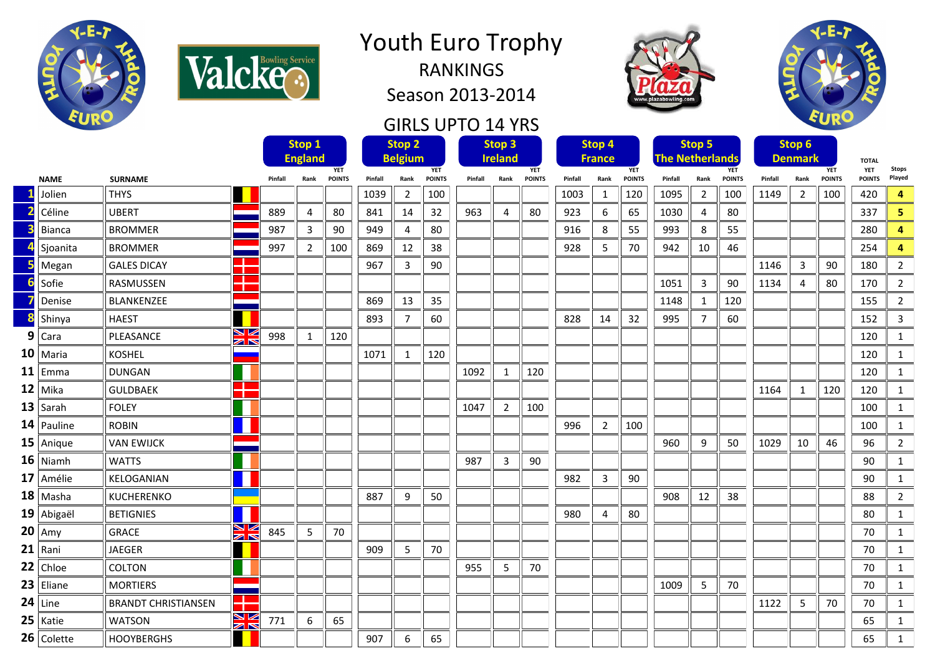



Season 2013-2014

## GIRLS UPTO 14 YRS





|              |                                |         | Stop 1                       |               | Stop <sub>2</sub> |                              |               |         | Stop 3         |               | Stop 4  |                |               | Stop 5                               |                |               | Stop 6                       |                |               |                            |                |
|--------------|--------------------------------|---------|------------------------------|---------------|-------------------|------------------------------|---------------|---------|----------------|---------------|---------|----------------|---------------|--------------------------------------|----------------|---------------|------------------------------|----------------|---------------|----------------------------|----------------|
|              |                                |         | <b>England</b><br><b>YET</b> |               |                   | <b>Belgium</b><br><b>YET</b> |               |         | <b>Ireland</b> | <b>YET</b>    |         | <b>France</b>  | <b>YET</b>    | <b>The Netherlands</b><br><b>YET</b> |                |               | <b>Denmark</b><br><b>YET</b> |                |               | <b>TOTAL</b><br><b>YET</b> | <b>Stops</b>   |
| <b>NAME</b>  | <b>SURNAME</b>                 | Pinfall | Rank                         | <b>POINTS</b> | Pinfall           | Rank                         | <b>POINTS</b> | Pinfall | Rank           | <b>POINTS</b> | Pinfall | Rank           | <b>POINTS</b> | Pinfall                              | Rank           | <b>POINTS</b> | Pinfall                      | Rank           | <b>POINTS</b> | <b>POINTS</b>              | Played         |
| Jolien       | <b>THYS</b>                    |         |                              |               | 1039              | $\overline{2}$               | 100           |         |                |               | 1003    | $\mathbf{1}$   | 120           | 1095                                 | $\overline{2}$ | 100           | 1149                         | $\overline{2}$ | 100           | 420                        | 4              |
| Céline       | <b>UBERT</b>                   | 889     | 4                            | 80            | 841               | 14                           | 32            | 963     | 4              | 80            | 923     | 6              | 65            | 1030                                 | 4              | 80            |                              |                |               | 337                        | 5.             |
| Bianca       | <b>BROMMER</b>                 | 987     | 3                            | 90            | 949               | $\overline{4}$               | 80            |         |                |               | 916     | 8              | 55            | 993                                  | 8              | 55            |                              |                |               | 280                        | 4              |
| Sjoanita     | <b>BROMMER</b>                 | 997     | $\overline{2}$               | 100           | 869               | 12                           | 38            |         |                |               | 928     | 5              | 70            | 942                                  | 10             | 46            |                              |                |               | 254                        | 4              |
| Megan        | . .<br><b>GALES DICAY</b>      |         |                              |               | 967               | 3                            | 90            |         |                |               |         |                |               |                                      |                |               | 1146                         | 3              | 90            | 180                        | $\overline{2}$ |
| Sofie        | RASMUSSEN                      |         |                              |               |                   |                              |               |         |                |               |         |                |               | 1051                                 | 3              | 90            | 1134                         | 4              | 80            | 170                        | 2              |
| Denise       | BLANKENZEE                     |         |                              |               | 869               | 13                           | 35            |         |                |               |         |                |               | 1148                                 | $\mathbf{1}$   | 120           |                              |                |               | 155                        | $\overline{2}$ |
| Shinya       | <b>HAEST</b>                   |         |                              |               | 893               | $\overline{7}$               | 60            |         |                |               | 828     | 14             | 32            | 995                                  | $\overline{7}$ | 60            |                              |                |               | 152                        | 3              |
| $9$ Cara     | ↘ڻ<br>PLEASANCE<br>K           | 998     | $\mathbf{1}$                 | 120           |                   |                              |               |         |                |               |         |                |               |                                      |                |               |                              |                |               | 120                        | $\mathbf{1}$   |
| $10$ Maria   | <b>KOSHEL</b>                  |         |                              |               | 1071              | $\mathbf{1}$                 | 120           |         |                |               |         |                |               |                                      |                |               |                              |                |               | 120                        | $\mathbf{1}$   |
| $11$ Emma    | <b>DUNGAN</b>                  |         |                              |               |                   |                              |               | 1092    | $\mathbf{1}$   | 120           |         |                |               |                                      |                |               |                              |                |               | 120                        | $\mathbf{1}$   |
| $12$ Mika    | a ser<br><b>GULDBAEK</b><br>٦. |         |                              |               |                   |                              |               |         |                |               |         |                |               |                                      |                |               | 1164                         | 1              | 120           | 120                        | $\mathbf{1}$   |
| $13$ Sarah   | <b>FOLEY</b>                   |         |                              |               |                   |                              |               | 1047    | $\overline{2}$ | 100           |         |                |               |                                      |                |               |                              |                |               | 100                        | $\mathbf{1}$   |
| $14$ Pauline | <b>ROBIN</b>                   |         |                              |               |                   |                              |               |         |                |               | 996     | $\overline{2}$ | 100           |                                      |                |               |                              |                |               | 100                        | $\mathbf{1}$   |
| $15$ Anique  | <b>VAN EWIJCK</b>              |         |                              |               |                   |                              |               |         |                |               |         |                |               | 960                                  | 9              | 50            | 1029                         | 10             | 46            | 96                         | $\overline{2}$ |
| $16$ Niamh   | <b>WATTS</b>                   |         |                              |               |                   |                              |               | 987     | $\overline{3}$ | 90            |         |                |               |                                      |                |               |                              |                |               | 90                         | $\mathbf{1}$   |
| $17$ Amélie  | KELOGANIAN                     |         |                              |               |                   |                              |               |         |                |               | 982     | 3              | 90            |                                      |                |               |                              |                |               | 90                         | $\mathbf{1}$   |
| $18$ Masha   | KUCHERENKO                     |         |                              |               | 887               | 9                            | 50            |         |                |               |         |                |               | 908                                  | 12             | 38            |                              |                |               | 88                         | $\overline{2}$ |
| $19$ Abigaël | <b>BETIGNIES</b>               |         |                              |               |                   |                              |               |         |                |               | 980     | 4              | 80            |                                      |                |               |                              |                |               | 80                         | $\mathbf{1}$   |
| $20$ Amy     | V<br><b>GRACE</b><br>$\geq$    | 845     | 5                            | 70            |                   |                              |               |         |                |               |         |                |               |                                      |                |               |                              |                |               | 70                         | $\mathbf{1}$   |
| $21$ Rani    | <b>JAEGER</b>                  |         |                              |               | 909               | 5                            | 70            |         |                |               |         |                |               |                                      |                |               |                              |                |               | 70                         | $\mathbf{1}$   |
| $22$ Chloe   | COLTON                         |         |                              |               |                   |                              |               | 955     | $\overline{5}$ | 70            |         |                |               |                                      |                |               |                              |                |               | 70                         | $\mathbf{1}$   |
| $23$ Eliane  | <b>MORTIERS</b>                |         |                              |               |                   |                              |               |         |                |               |         |                |               | 1009                                 | 5              | 70            |                              |                |               | 70                         | $\mathbf{1}$   |
| $24$ Line    | <b>BRANDT CHRISTIANSEN</b>     |         |                              |               |                   |                              |               |         |                |               |         |                |               |                                      |                |               | 1122                         | 5              | 70            | 70                         | $\mathbf{1}$   |
| $25$   Katie | N<br>A<br>R<br><b>WATSON</b>   | 771     | 6                            | 65            |                   |                              |               |         |                |               |         |                |               |                                      |                |               |                              |                |               | 65                         | $\mathbf{1}$   |
| $26$ Colette | <b>HOOYBERGHS</b>              |         |                              |               | 907               | 6                            | 65            |         |                |               |         |                |               |                                      |                |               |                              |                |               | 65                         | $\mathbf{1}$   |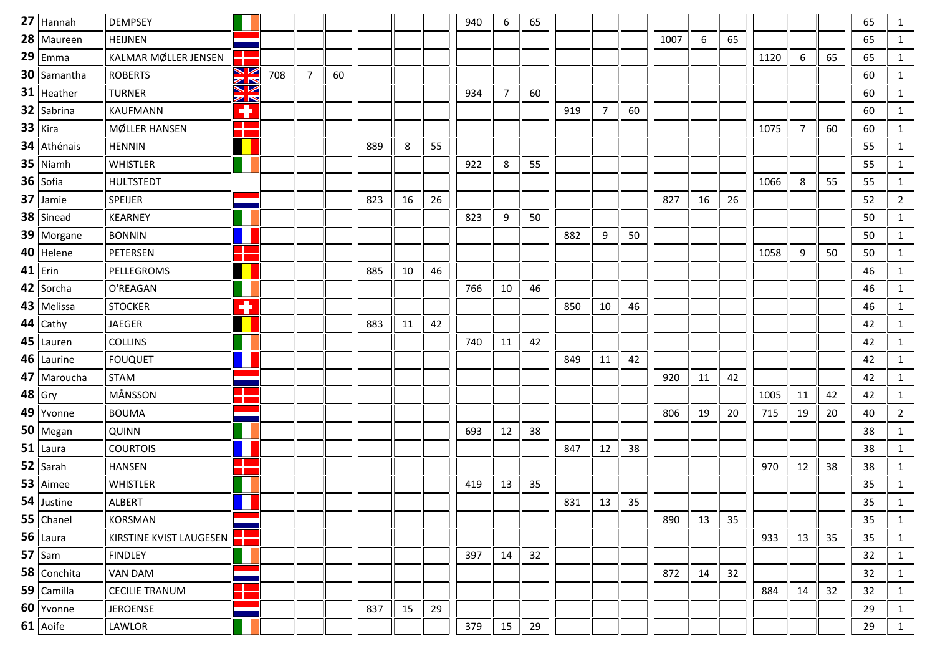| $27$   Hannah  | <b>DEMPSEY</b>          |                              |     |                |    |     |    |    | 940 | 6  | 65 |     |    |    |      |    |    |      |                |    | 65 | 1              |
|----------------|-------------------------|------------------------------|-----|----------------|----|-----|----|----|-----|----|----|-----|----|----|------|----|----|------|----------------|----|----|----------------|
| 28   Maureen   | <b>HEIJNEN</b>          |                              |     |                |    |     |    |    |     |    |    |     |    |    | 1007 | 6  | 65 |      |                |    | 65 | 1              |
| $29$ Emma      | KALMAR MØLLER JENSEN    |                              |     |                |    |     |    |    |     |    |    |     |    |    |      |    |    | 1120 | 6              | 65 | 65 | $\mathbf{1}$   |
| $30$ Samantha  | <b>ROBERTS</b>          | N K                          | 708 | $\overline{7}$ | 60 |     |    |    |     |    |    |     |    |    |      |    |    |      |                |    | 60 | $\mathbf{1}$   |
| $31$ Heather   | <b>TURNER</b>           | ▧<br>$\mathbb{Z} \mathbb{N}$ |     |                |    |     |    |    | 934 | 7  | 60 |     |    |    |      |    |    |      |                |    | 60 | 1              |
| $32$ Sabrina   | KAUFMANN                | ٠                            |     |                |    |     |    |    |     |    |    | 919 | 7  | 60 |      |    |    |      |                |    | 60 | $\mathbf{1}$   |
| $33$ Kira      | MØLLER HANSEN           | ╬                            |     |                |    |     |    |    |     |    |    |     |    |    |      |    |    | 1075 | $\overline{7}$ | 60 | 60 | $\mathbf{1}$   |
| 34 Athénais    | <b>HENNIN</b>           |                              |     |                |    | 889 | 8  | 55 |     |    |    |     |    |    |      |    |    |      |                |    | 55 | $\mathbf{1}$   |
| $35$ Niamh     | <b>WHISTLER</b>         |                              |     |                |    |     |    |    | 922 | 8  | 55 |     |    |    |      |    |    |      |                |    | 55 | $\mathbf{1}$   |
| $36$ Sofia     | <b>HULTSTEDT</b>        |                              |     |                |    |     |    |    |     |    |    |     |    |    |      |    |    | 1066 | 8              | 55 | 55 | 1              |
| $37$ Jamie     | <b>SPEIJER</b>          |                              |     |                |    | 823 | 16 | 26 |     |    |    |     |    |    | 827  | 16 | 26 |      |                |    | 52 | $\overline{2}$ |
| $38$ Sinead    | <b>KEARNEY</b>          |                              |     |                |    |     |    |    | 823 | 9  | 50 |     |    |    |      |    |    |      |                |    | 50 | $\mathbf{1}$   |
| 39   Morgane   | <b>BONNIN</b>           |                              |     |                |    |     |    |    |     |    |    | 882 | 9  | 50 |      |    |    |      |                |    | 50 | $\mathbf{1}$   |
| $40$   Helene  | PETERSEN                |                              |     |                |    |     |    |    |     |    |    |     |    |    |      |    |    | 1058 | 9              | 50 | 50 | 1              |
| $41$ Erin      | PELLEGROMS              |                              |     |                |    | 885 | 10 | 46 |     |    |    |     |    |    |      |    |    |      |                |    | 46 | $\mathbf{1}$   |
| $42$ Sorcha    | O'REAGAN                |                              |     |                |    |     |    |    | 766 | 10 | 46 |     |    |    |      |    |    |      |                |    | 46 | 1              |
| 43   Melissa   | <b>STOCKER</b>          | ٠                            |     |                |    |     |    |    |     |    |    | 850 | 10 | 46 |      |    |    |      |                |    | 46 | 1              |
| $44$ Cathy     | <b>JAEGER</b>           |                              |     |                |    | 883 | 11 | 42 |     |    |    |     |    |    |      |    |    |      |                |    | 42 | $\mathbf{1}$   |
| $45$   Lauren  | <b>COLLINS</b>          |                              |     |                |    |     |    |    | 740 | 11 | 42 |     |    |    |      |    |    |      |                |    | 42 | 1              |
| $46$   Laurine | <b>FOUQUET</b>          |                              |     |                |    |     |    |    |     |    |    | 849 | 11 | 42 |      |    |    |      |                |    | 42 | 1              |
| 47   Maroucha  | <b>STAM</b>             |                              |     |                |    |     |    |    |     |    |    |     |    |    | 920  | 11 | 42 |      |                |    | 42 | 1              |
| $48$ Gry       | MÅNSSON                 |                              |     |                |    |     |    |    |     |    |    |     |    |    |      |    |    | 1005 | 11             | 42 | 42 | $\mathbf{1}$   |
| $49$ Yvonne    | <b>BOUMA</b>            |                              |     |                |    |     |    |    |     |    |    |     |    |    | 806  | 19 | 20 | 715  | 19             | 20 | 40 | $\overline{2}$ |
| $50$   Megan   | QUINN                   |                              |     |                |    |     |    |    | 693 | 12 | 38 |     |    |    |      |    |    |      |                |    | 38 | $\mathbf{1}$   |
| $51$ Laura     | <b>COURTOIS</b>         |                              |     |                |    |     |    |    |     |    |    | 847 | 12 | 38 |      |    |    |      |                |    | 38 | $\mathbf{1}$   |
| $52$ Sarah     | <b>HANSEN</b>           |                              |     |                |    |     |    |    |     |    |    |     |    |    |      |    |    | 970  | 12             | 38 | 38 | $\mathbf{1}$   |
| $53$   Aimee   | WHISTLER                |                              |     |                |    |     |    |    | 419 | 13 | 35 |     |    |    |      |    |    |      |                |    | 35 | 1              |
| 54 Justine     | ALBERT                  |                              |     |                |    |     |    |    |     |    |    | 831 | 13 | 35 |      |    |    |      |                |    | 35 | $\mathbf{1}$   |
| $55$ Chanel    | <b>KORSMAN</b>          |                              |     |                |    |     |    |    |     |    |    |     |    |    | 890  | 13 | 35 |      |                |    | 35 | 1              |
| $56$ Laura     | KIRSTINE KVIST LAUGESEN |                              |     |                |    |     |    |    |     |    |    |     |    |    |      |    |    | 933  | 13             | 35 | 35 | $\mathbf{1}$   |
| $57$ Sam       | <b>FINDLEY</b>          |                              |     |                |    |     |    |    | 397 | 14 | 32 |     |    |    |      |    |    |      |                |    | 32 | 1              |
| 58 Conchita    | VAN DAM                 |                              |     |                |    |     |    |    |     |    |    |     |    |    | 872  | 14 | 32 |      |                |    | 32 | 1              |
| $59$ Camilla   | <b>CECILIE TRANUM</b>   |                              |     |                |    |     |    |    |     |    |    |     |    |    |      |    |    | 884  | 14             | 32 | 32 | $\mathbf{1}$   |
| 60 Yvonne      | <b>JEROENSE</b>         |                              |     |                |    | 837 | 15 | 29 |     |    |    |     |    |    |      |    |    |      |                |    | 29 | $\mathbf{1}$   |
| $61$ Aoife     | LAWLOR                  |                              |     |                |    |     |    |    | 379 | 15 | 29 |     |    |    |      |    |    |      |                |    | 29 | 1              |